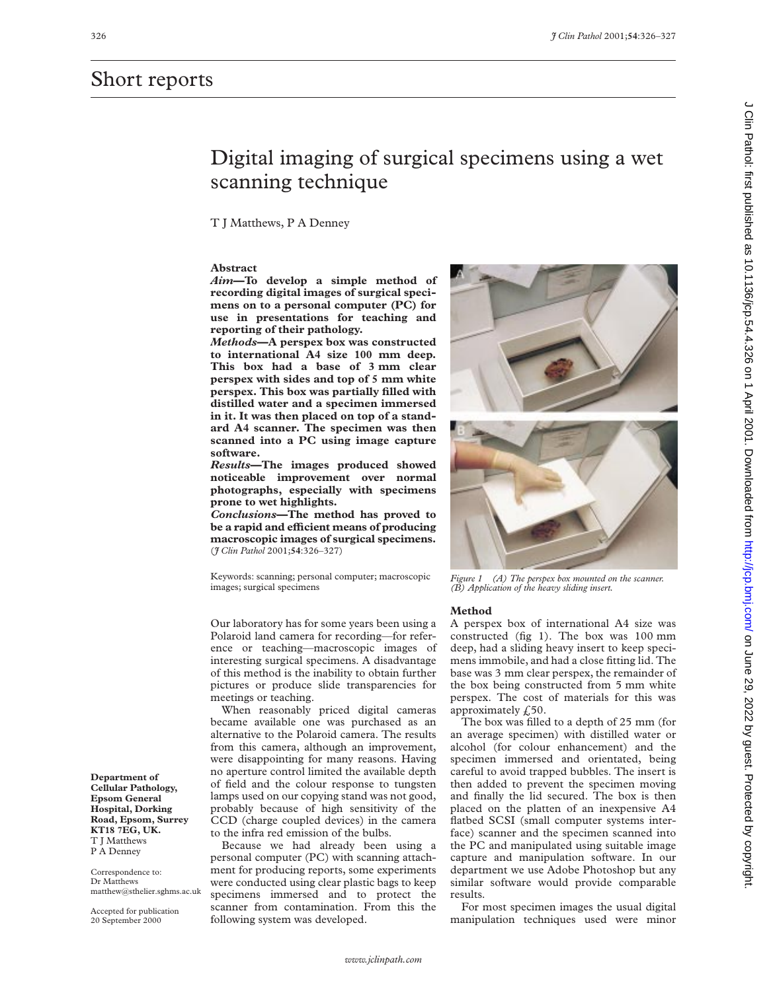# Short reports

# Digital imaging of surgical specimens using a wet scanning technique

T J Matthews, P A Denney

## **Abstract**

*Aim***—To develop a simple method of recording digital images of surgical specimens on to a personal computer (PC) for use in presentations for teaching and reporting of their pathology.**

*Methods***—A perspex box was constructed to international A4 size 100 mm deep. This box had a base of 3 mm clear perspex with sides and top of 5 mm white perspex. This box was partially filled with distilled water and a specimen immersed in it. It was then placed on top of a standard A4 scanner. The specimen was then scanned into a PC using image capture software.**

*Results***—The images produced showed noticeable improvement over normal photographs, especially with specimens prone to wet highlights.**

*Conclusions***—The method has proved to be a rapid and eYcient means of producing macroscopic images of surgical specimens.** (*J Clin Pathol* 2001;**54**:326–327)

Keywords: scanning; personal computer; macroscopic images; surgical specimens

Our laboratory has for some years been using a Polaroid land camera for recording—for reference or teaching—macroscopic images of interesting surgical specimens. A disadvantage of this method is the inability to obtain further pictures or produce slide transparencies for meetings or teaching.

When reasonably priced digital cameras became available one was purchased as an alternative to the Polaroid camera. The results from this camera, although an improvement, were disappointing for many reasons. Having no aperture control limited the available depth of field and the colour response to tungsten lamps used on our copying stand was not good, probably because of high sensitivity of the CCD (charge coupled devices) in the camera to the infra red emission of the bulbs.

Because we had already been using a personal computer (PC) with scanning attachment for producing reports, some experiments were conducted using clear plastic bags to keep specimens immersed and to protect the scanner from contamination. From this the following system was developed.





*Figure 1 (A) The perspex box mounted on the scanner. (B) Application of the heavy sliding insert.*

#### **Method**

A perspex box of international A4 size was constructed (fig 1). The box was 100 mm deep, had a sliding heavy insert to keep specimens immobile, and had a close fitting lid. The base was 3 mm clear perspex, the remainder of the box being constructed from 5 mm white perspex. The cost of materials for this was approximately  $f<sub>z</sub>50$ .

The box was filled to a depth of 25 mm (for an average specimen) with distilled water or alcohol (for colour enhancement) and the specimen immersed and orientated, being careful to avoid trapped bubbles. The insert is then added to prevent the specimen moving and finally the lid secured. The box is then placed on the platten of an inexpensive A4 flatbed SCSI (small computer systems interface) scanner and the specimen scanned into the PC and manipulated using suitable image capture and manipulation software. In our department we use Adobe Photoshop but any similar software would provide comparable results.

For most specimen images the usual digital manipulation techniques used were minor

**Department of Cellular Pathology, Epsom General Hospital, Dorking Road, Epsom, Surrey KT18 7EG, UK.** T J Matthews P A Denney

Correspondence to: Dr Matthews matthew@sthelier.sghms.ac.uk

Accepted for publication 20 September 2000